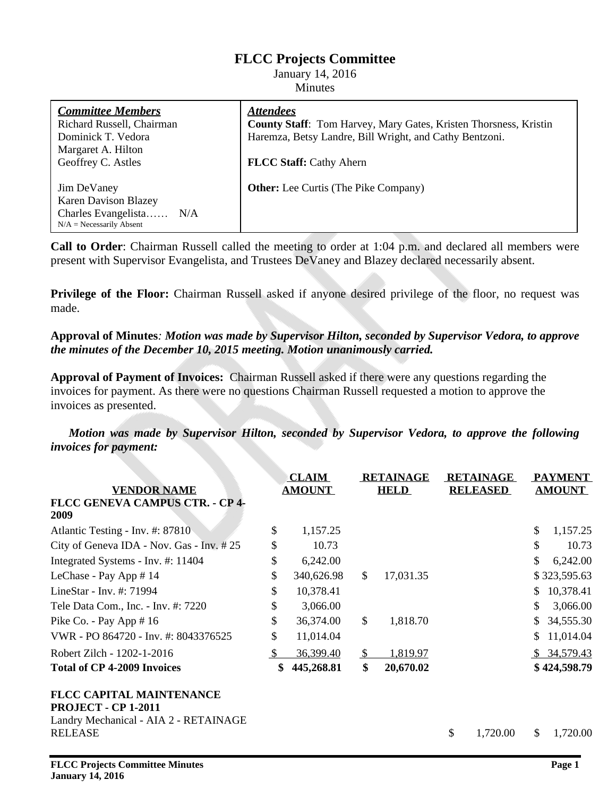# **FLCC Projects Committee**

January 14, 2016 Minutes

| <b>Committee Members</b>    | <b>Attendees</b>                                                 |  |  |  |  |
|-----------------------------|------------------------------------------------------------------|--|--|--|--|
| Richard Russell, Chairman   | County Staff: Tom Harvey, Mary Gates, Kristen Thorsness, Kristin |  |  |  |  |
| Dominick T. Vedora          | Haremza, Betsy Landre, Bill Wright, and Cathy Bentzoni.          |  |  |  |  |
| Margaret A. Hilton          |                                                                  |  |  |  |  |
| Geoffrey C. Astles          | <b>FLCC Staff: Cathy Ahern</b>                                   |  |  |  |  |
|                             |                                                                  |  |  |  |  |
| Jim DeVaney                 | <b>Other:</b> Lee Curtis (The Pike Company)                      |  |  |  |  |
| <b>Karen Davison Blazey</b> |                                                                  |  |  |  |  |
| Charles Evangelista N/A     |                                                                  |  |  |  |  |
| $N/A = Necessarily$ Absent  |                                                                  |  |  |  |  |
|                             |                                                                  |  |  |  |  |

**Call to Order**: Chairman Russell called the meeting to order at 1:04 p.m. and declared all members were present with Supervisor Evangelista, and Trustees DeVaney and Blazey declared necessarily absent.

**Privilege of the Floor:** Chairman Russell asked if anyone desired privilege of the floor, no request was made.

#### **Approval of Minutes***: Motion was made by Supervisor Hilton, seconded by Supervisor Vedora, to approve the minutes of the December 10, 2015 meeting. Motion unanimously carried.*

**Approval of Payment of Invoices:** Chairman Russell asked if there were any questions regarding the invoices for payment. As there were no questions Chairman Russell requested a motion to approve the invoices as presented.

*Motion was made by Supervisor Hilton, seconded by Supervisor Vedora, to approve the following invoices for payment:*

| <b>VENDOR NAME</b>                                            | <b>CLAIM</b><br><b>AMOUNT</b> |            | <b>RETAINAGE</b><br><b>HELD</b> |           | <b>RETAINAGE</b><br><b>RELEASED</b> |          | <b>PAYMENT</b><br><b>AMOUNT</b> |              |
|---------------------------------------------------------------|-------------------------------|------------|---------------------------------|-----------|-------------------------------------|----------|---------------------------------|--------------|
| FLCC GENEVA CAMPUS CTR. - CP 4-<br>2009                       |                               |            |                                 |           |                                     |          |                                 |              |
| Atlantic Testing - Inv. #: 87810                              | \$                            | 1,157.25   |                                 |           |                                     |          | \$                              | 1,157.25     |
| City of Geneva IDA - Nov. Gas - Inv. #25                      | \$                            | 10.73      |                                 |           |                                     |          | \$                              | 10.73        |
| Integrated Systems - Inv. #: 11404                            | \$                            | 6,242.00   |                                 |           |                                     |          | S                               | 6,242.00     |
| LeChase - Pay App # 14                                        | \$                            | 340,626.98 | $\mathbb{S}$                    | 17,031.35 |                                     |          |                                 | \$323,595.63 |
| LineStar - Inv. #: 71994                                      | \$                            | 10,378.41  |                                 |           |                                     |          | \$                              | 10,378.41    |
| Tele Data Com., Inc. - Inv. #: 7220                           | \$                            | 3,066.00   |                                 |           |                                     |          |                                 | 3,066.00     |
| Pike Co. - Pay App $# 16$                                     | \$                            | 36,374.00  | $\mathbb{S}$                    | 1,818.70  |                                     |          | S.                              | 34,555.30    |
| VWR - PO 864720 - Inv. #: 8043376525                          | \$                            | 11,014.04  |                                 |           |                                     |          | S                               | 11,014.04    |
| Robert Zilch - 1202-1-2016                                    |                               | 36,399.40  | <sup>\$</sup>                   | 1,819.97  |                                     |          |                                 | \$34,579.43  |
| <b>Total of CP 4-2009 Invoices</b>                            | \$                            | 445,268.81 | \$                              | 20,670.02 |                                     |          |                                 | \$424,598.79 |
| <b>FLCC CAPITAL MAINTENANCE</b><br><b>PROJECT - CP 1-2011</b> |                               |            |                                 |           |                                     |          |                                 |              |
| Landry Mechanical - AIA 2 - RETAINAGE                         |                               |            |                                 |           |                                     |          |                                 |              |
| <b>RELEASE</b>                                                |                               |            |                                 |           | \$                                  | 1,720.00 | \$.                             | 1,720.00     |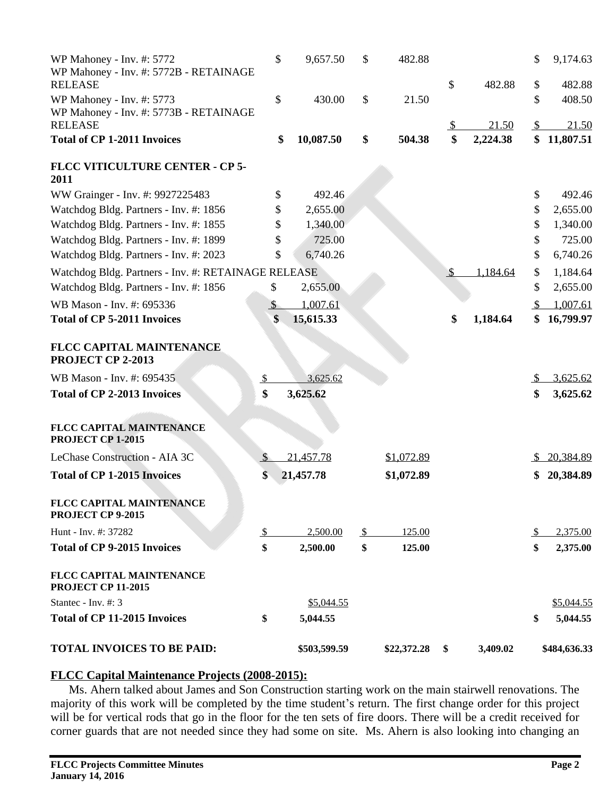| WP Mahoney - Inv. #: 5772<br>WP Mahoney - Inv. #: 5772B - RETAINAGE                   | \$                   | 9,657.50     | \$             | 482.88      |               |          | \$             | 9,174.63         |
|---------------------------------------------------------------------------------------|----------------------|--------------|----------------|-------------|---------------|----------|----------------|------------------|
| <b>RELEASE</b><br>WP Mahoney - Inv. #: 5773<br>WP Mahoney - Inv. #: 5773B - RETAINAGE | \$                   | 430.00       | $\mathbb{S}$   | 21.50       | \$            | 482.88   | \$<br>\$       | 482.88<br>408.50 |
| <b>RELEASE</b>                                                                        |                      |              |                |             | <u>S</u>      | 21.50    | $\mathcal{S}$  | 21.50            |
| <b>Total of CP 1-2011 Invoices</b>                                                    | \$                   | 10,087.50    | \$             | 504.38      | \$            | 2,224.38 | \$             | 11,807.51        |
| FLCC VITICULTURE CENTER - CP 5-<br>2011                                               |                      |              |                |             |               |          |                |                  |
| WW Grainger - Inv. #: 9927225483                                                      | \$                   | 492.46       |                |             |               |          | \$             | 492.46           |
| Watchdog Bldg. Partners - Inv. #: 1856                                                | \$                   | 2,655.00     |                |             |               |          | \$             | 2,655.00         |
| Watchdog Bldg. Partners - Inv. #: 1855                                                |                      | 1,340.00     |                |             |               |          | \$             | 1,340.00         |
| Watchdog Bldg. Partners - Inv. #: 1899                                                |                      | 725.00       |                |             |               |          | \$             | 725.00           |
| Watchdog Bldg. Partners - Inv. #: 2023                                                | \$                   | 6,740.26     |                |             |               |          | \$             | 6,740.26         |
| Watchdog Bldg. Partners - Inv. #: RETAINAGE RELEASE                                   |                      |              |                |             | $\mathcal{S}$ | 1,184.64 | \$             | 1,184.64         |
| Watchdog Bldg. Partners - Inv. #: 1856                                                | \$                   | 2,655.00     |                |             |               |          | \$             | 2,655.00         |
| WB Mason - Inv. #: 695336                                                             | $\sqrt{\frac{2}{2}}$ | 1,007.61     |                |             |               |          | \$             | 1,007.61         |
| <b>Total of CP 5-2011 Invoices</b>                                                    | \$                   | 15,615.33    |                |             | \$            | 1,184.64 | \$             | 16,799.97        |
| FLCC CAPITAL MAINTENANCE<br>PROJECT CP 2-2013                                         |                      |              |                |             |               |          |                |                  |
| WB Mason - Inv. #: 695435                                                             | $\frac{1}{2}$        | 3,625.62     |                |             |               |          | $\mathfrak{L}$ | 3,625.62         |
| <b>Total of CP 2-2013 Invoices</b>                                                    | \$                   | 3,625.62     |                |             |               |          | \$             | 3,625.62         |
| FLCC CAPITAL MAINTENANCE<br>PROJECT CP 1-2015                                         |                      |              |                |             |               |          |                |                  |
| LeChase Construction - AIA 3C                                                         | $\overline{v}$       | 21,457.78    |                | \$1,072.89  |               |          |                | \$20,384.89      |
| <b>Total of CP 1-2015 Invoices</b>                                                    | \$                   | 21,457.78    |                | \$1,072.89  |               |          | \$             | 20,384.89        |
| FLCC CAPITAL MAINTENANCE<br>PROJECT CP 9-2015                                         |                      |              |                |             |               |          |                |                  |
| Hunt - Inv. #: 37282                                                                  | $\overline{v}$       | 2,500.00     | $\overline{v}$ | 125.00      |               |          | -S             | 2,375.00         |
| <b>Total of CP 9-2015 Invoices</b>                                                    | \$                   | 2,500.00     | \$             | 125.00      |               |          | \$             | 2,375.00         |
| FLCC CAPITAL MAINTENANCE<br><b>PROJECT CP 11-2015</b>                                 |                      |              |                |             |               |          |                |                  |
| Stantec - Inv. #: 3                                                                   |                      | \$5,044.55   |                |             |               |          |                | \$5,044.55       |
| <b>Total of CP 11-2015 Invoices</b>                                                   | \$                   | 5,044.55     |                |             |               |          | \$             | 5,044.55         |
| <b>TOTAL INVOICES TO BE PAID:</b>                                                     |                      | \$503,599.59 |                | \$22,372.28 | \$            | 3,409.02 |                | \$484,636.33     |

#### **FLCC Capital Maintenance Projects (2008-2015):**

Ms. Ahern talked about James and Son Construction starting work on the main stairwell renovations. The majority of this work will be completed by the time student's return. The first change order for this project will be for vertical rods that go in the floor for the ten sets of fire doors. There will be a credit received for corner guards that are not needed since they had some on site. Ms. Ahern is also looking into changing an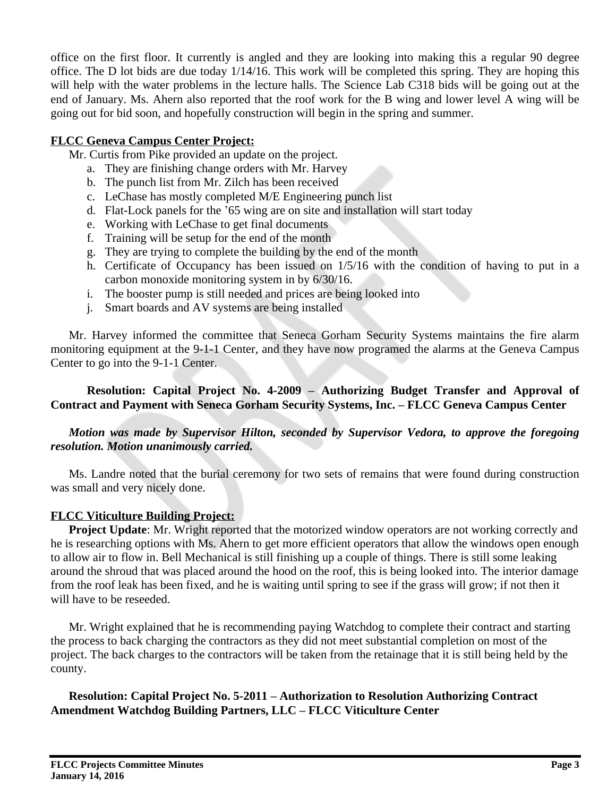office on the first floor. It currently is angled and they are looking into making this a regular 90 degree office. The D lot bids are due today 1/14/16. This work will be completed this spring. They are hoping this will help with the water problems in the lecture halls. The Science Lab C318 bids will be going out at the end of January. Ms. Ahern also reported that the roof work for the B wing and lower level A wing will be going out for bid soon, and hopefully construction will begin in the spring and summer.

# **FLCC Geneva Campus Center Project:**

Mr. Curtis from Pike provided an update on the project.

- a. They are finishing change orders with Mr. Harvey
- b. The punch list from Mr. Zilch has been received
- c. LeChase has mostly completed M/E Engineering punch list
- d. Flat-Lock panels for the '65 wing are on site and installation will start today
- e. Working with LeChase to get final documents
- f. Training will be setup for the end of the month
- g. They are trying to complete the building by the end of the month
- h. Certificate of Occupancy has been issued on 1/5/16 with the condition of having to put in a carbon monoxide monitoring system in by 6/30/16.
- i. The booster pump is still needed and prices are being looked into
- j. Smart boards and AV systems are being installed

Mr. Harvey informed the committee that Seneca Gorham Security Systems maintains the fire alarm monitoring equipment at the 9-1-1 Center, and they have now programed the alarms at the Geneva Campus Center to go into the 9-1-1 Center.

## **Resolution: Capital Project No. 4-2009 – Authorizing Budget Transfer and Approval of Contract and Payment with Seneca Gorham Security Systems, Inc. – FLCC Geneva Campus Center**

## *Motion was made by Supervisor Hilton, seconded by Supervisor Vedora, to approve the foregoing resolution. Motion unanimously carried.*

Ms. Landre noted that the burial ceremony for two sets of remains that were found during construction was small and very nicely done.

### **FLCC Viticulture Building Project:**

**Project Update**: Mr. Wright reported that the motorized window operators are not working correctly and he is researching options with Ms. Ahern to get more efficient operators that allow the windows open enough to allow air to flow in. Bell Mechanical is still finishing up a couple of things. There is still some leaking around the shroud that was placed around the hood on the roof, this is being looked into. The interior damage from the roof leak has been fixed, and he is waiting until spring to see if the grass will grow; if not then it will have to be reseeded.

Mr. Wright explained that he is recommending paying Watchdog to complete their contract and starting the process to back charging the contractors as they did not meet substantial completion on most of the project. The back charges to the contractors will be taken from the retainage that it is still being held by the county.

**Resolution: Capital Project No. 5-2011 – Authorization to Resolution Authorizing Contract Amendment Watchdog Building Partners, LLC – FLCC Viticulture Center**